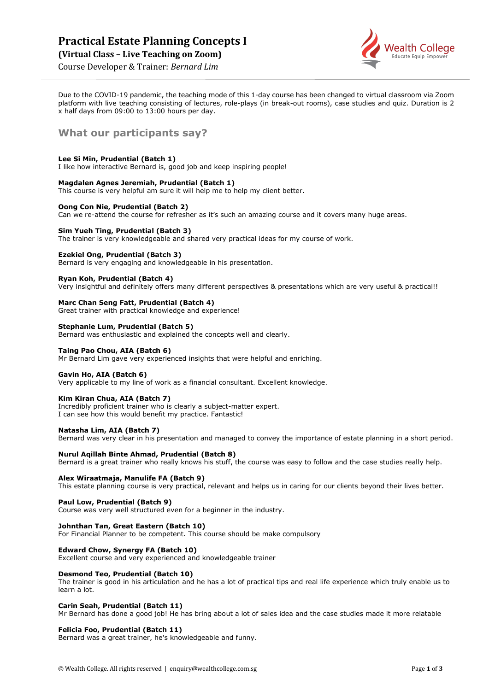# **Practical Estate Planning Concepts I**

**(Virtual Class – Live Teaching on Zoom)**



Course Developer & Trainer: *Bernard Lim*

Due to the COVID-19 pandemic, the teaching mode of this 1-day course has been changed to virtual classroom via Zoom platform with live teaching consisting of lectures, role-plays (in break-out rooms), case studies and quiz. Duration is 2 x half days from 09:00 to 13:00 hours per day.

# **What our participants say?**

# **Lee Si Min, Prudential (Batch 1)**

I like how interactive Bernard is, good job and keep inspiring people!

## **Magdalen Agnes Jeremiah, Prudential (Batch 1)**

This course is very helpful am sure it will help me to help my client better.

## **Oong Con Nie, Prudential (Batch 2)**

Can we re-attend the course for refresher as it's such an amazing course and it covers many huge areas.

# **Sim Yueh Ting, Prudential (Batch 3)**

The trainer is very knowledgeable and shared very practical ideas for my course of work.

#### **Ezekiel Ong, Prudential (Batch 3)**

Bernard is very engaging and knowledgeable in his presentation.

#### **Ryan Koh, Prudential (Batch 4)**

Very insightful and definitely offers many different perspectives & presentations which are very useful & practical!!

## **Marc Chan Seng Fatt, Prudential (Batch 4)**

Great trainer with practical knowledge and experience!

#### **Stephanie Lum, Prudential (Batch 5)**

Bernard was enthusiastic and explained the concepts well and clearly.

#### **Taing Pao Chou, AIA (Batch 6)**

Mr Bernard Lim gave very experienced insights that were helpful and enriching.

#### **Gavin Ho, AIA (Batch 6)**

Very applicable to my line of work as a financial consultant. Excellent knowledge.

#### **Kim Kiran Chua, AIA (Batch 7)**

Incredibly proficient trainer who is clearly a subject-matter expert. I can see how this would benefit my practice. Fantastic!

#### **Natasha Lim, AIA (Batch 7)**

Bernard was very clear in his presentation and managed to convey the importance of estate planning in a short period.

#### **Nurul Aqillah Binte Ahmad, Prudential (Batch 8)**

Bernard is a great trainer who really knows his stuff, the course was easy to follow and the case studies really help.

#### **Alex Wiraatmaja, Manulife FA (Batch 9)**

This estate planning course is very practical, relevant and helps us in caring for our clients beyond their lives better.

#### **Paul Low, Prudential (Batch 9)**

Course was very well structured even for a beginner in the industry.

#### **Johnthan Tan, Great Eastern (Batch 10)**

For Financial Planner to be competent. This course should be make compulsory

#### **Edward Chow, Synergy FA (Batch 10)**

Excellent course and very experienced and knowledgeable trainer

#### **Desmond Teo, Prudential (Batch 10)**

The trainer is good in his articulation and he has a lot of practical tips and real life experience which truly enable us to learn a lot.

#### **Carin Seah, Prudential (Batch 11)**

Mr Bernard has done a good job! He has bring about a lot of sales idea and the case studies made it more relatable

#### **Felicia Foo, Prudential (Batch 11)**

Bernard was a great trainer, he's knowledgeable and funny.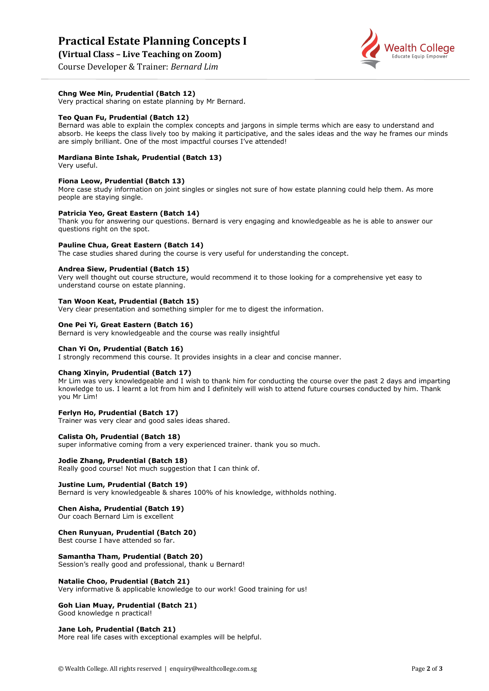# **Practical Estate Planning Concepts I**

**(Virtual Class – Live Teaching on Zoom)**





**Chng Wee Min, Prudential (Batch 12)**

Very practical sharing on estate planning by Mr Bernard.

#### **Teo Quan Fu, Prudential (Batch 12)**

Bernard was able to explain the complex concepts and jargons in simple terms which are easy to understand and absorb. He keeps the class lively too by making it participative, and the sales ideas and the way he frames our minds are simply brilliant. One of the most impactful courses I've attended!

## **Mardiana Binte Ishak, Prudential (Batch 13)**

Very useful.

#### **Fiona Leow, Prudential (Batch 13)**

More case study information on joint singles or singles not sure of how estate planning could help them. As more people are staying single.

#### **Patricia Yeo, Great Eastern (Batch 14)**

Thank you for answering our questions. Bernard is very engaging and knowledgeable as he is able to answer our questions right on the spot.

#### **Pauline Chua, Great Eastern (Batch 14)**

The case studies shared during the course is very useful for understanding the concept.

#### **Andrea Siew, Prudential (Batch 15)**

Very well thought out course structure, would recommend it to those looking for a comprehensive yet easy to understand course on estate planning.

#### **Tan Woon Keat, Prudential (Batch 15)**

Very clear presentation and something simpler for me to digest the information.

## **One Pei Yi, Great Eastern (Batch 16)**

Bernard is very knowledgeable and the course was really insightful

#### **Chan Yi On, Prudential (Batch 16)**

I strongly recommend this course. It provides insights in a clear and concise manner.

#### **Chang Xinyin, Prudential (Batch 17)**

Mr Lim was very knowledgeable and I wish to thank him for conducting the course over the past 2 days and imparting knowledge to us. I learnt a lot from him and I definitely will wish to attend future courses conducted by him. Thank you Mr Lim!

#### **Ferlyn Ho, Prudential (Batch 17)**

Trainer was very clear and good sales ideas shared.

#### **Calista Oh, Prudential (Batch 18)**

super informative coming from a very experienced trainer. thank you so much.

#### **Jodie Zhang, Prudential (Batch 18)**

Really good course! Not much suggestion that I can think of.

#### **Justine Lum, Prudential (Batch 19)**

Bernard is very knowledgeable & shares 100% of his knowledge, withholds nothing.

#### **Chen Aisha, Prudential (Batch 19)**

Our coach Bernard Lim is excellent

#### **Chen Runyuan, Prudential (Batch 20)**

Best course I have attended so far.

#### **Samantha Tham, Prudential (Batch 20)**

Session's really good and professional, thank u Bernard!

#### **Natalie Choo, Prudential (Batch 21)**

Very informative & applicable knowledge to our work! Good training for us!

#### **Goh Lian Muay, Prudential (Batch 21)**

Good knowledge n practical!

#### **Jane Loh, Prudential (Batch 21)**

More real life cases with exceptional examples will be helpful.